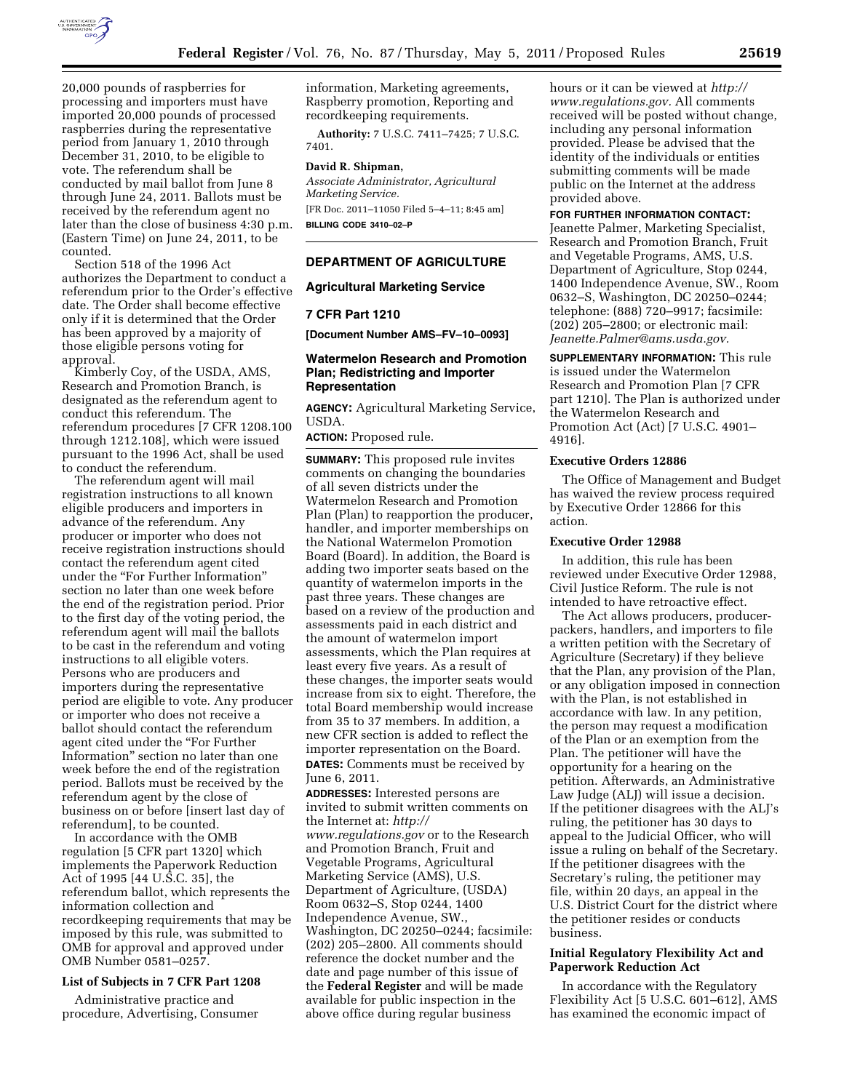

20,000 pounds of raspberries for processing and importers must have imported 20,000 pounds of processed raspberries during the representative period from January 1, 2010 through December 31, 2010, to be eligible to vote. The referendum shall be conducted by mail ballot from June 8 through June 24, 2011. Ballots must be received by the referendum agent no later than the close of business 4:30 p.m. (Eastern Time) on June 24, 2011, to be counted.

Section 518 of the 1996 Act authorizes the Department to conduct a referendum prior to the Order's effective date. The Order shall become effective only if it is determined that the Order has been approved by a majority of those eligible persons voting for approval.

Kimberly Coy, of the USDA, AMS, Research and Promotion Branch, is designated as the referendum agent to conduct this referendum. The referendum procedures [7 CFR 1208.100 through 1212.108], which were issued pursuant to the 1996 Act, shall be used to conduct the referendum.

The referendum agent will mail registration instructions to all known eligible producers and importers in advance of the referendum. Any producer or importer who does not receive registration instructions should contact the referendum agent cited under the ''For Further Information'' section no later than one week before the end of the registration period. Prior to the first day of the voting period, the referendum agent will mail the ballots to be cast in the referendum and voting instructions to all eligible voters. Persons who are producers and importers during the representative period are eligible to vote. Any producer or importer who does not receive a ballot should contact the referendum agent cited under the ''For Further Information'' section no later than one week before the end of the registration period. Ballots must be received by the referendum agent by the close of business on or before [insert last day of referendum], to be counted.

In accordance with the OMB regulation [5 CFR part 1320] which implements the Paperwork Reduction Act of 1995 [44 U.S.C. 35], the referendum ballot, which represents the information collection and recordkeeping requirements that may be imposed by this rule, was submitted to OMB for approval and approved under OMB Number 0581–0257.

#### **List of Subjects in 7 CFR Part 1208**

Administrative practice and procedure, Advertising, Consumer information, Marketing agreements, Raspberry promotion, Reporting and recordkeeping requirements.

**Authority:** 7 U.S.C. 7411–7425; 7 U.S.C. 7401.

#### **David R. Shipman,**

*Associate Administrator, Agricultural Marketing Service.* 

[FR Doc. 2011–11050 Filed 5–4–11; 8:45 am] **BILLING CODE 3410–02–P** 

### **DEPARTMENT OF AGRICULTURE**

### **Agricultural Marketing Service**

#### **7 CFR Part 1210**

**[Document Number AMS–FV–10–0093]** 

## **Watermelon Research and Promotion Plan; Redistricting and Importer Representation**

**AGENCY:** Agricultural Marketing Service, USDA.

**ACTION:** Proposed rule.

**SUMMARY:** This proposed rule invites comments on changing the boundaries of all seven districts under the Watermelon Research and Promotion Plan (Plan) to reapportion the producer, handler, and importer memberships on the National Watermelon Promotion Board (Board). In addition, the Board is adding two importer seats based on the quantity of watermelon imports in the past three years. These changes are based on a review of the production and assessments paid in each district and the amount of watermelon import assessments, which the Plan requires at least every five years. As a result of these changes, the importer seats would increase from six to eight. Therefore, the total Board membership would increase from 35 to 37 members. In addition, a new CFR section is added to reflect the importer representation on the Board. **DATES:** Comments must be received by June 6, 2011.

**ADDRESSES:** Interested persons are invited to submit written comments on the Internet at: *[http://](http://www.regulations.gov) [www.regulations.gov](http://www.regulations.gov)* or to the Research and Promotion Branch, Fruit and Vegetable Programs, Agricultural Marketing Service (AMS), U.S. Department of Agriculture, (USDA) Room 0632–S, Stop 0244, 1400 Independence Avenue, SW., Washington, DC 20250–0244; facsimile: (202) 205–2800. All comments should reference the docket number and the date and page number of this issue of the **Federal Register** and will be made available for public inspection in the above office during regular business

hours or it can be viewed at *[http://](http://www.regulations.gov) [www.regulations.gov.](http://www.regulations.gov)* All comments received will be posted without change, including any personal information provided. Please be advised that the identity of the individuals or entities submitting comments will be made public on the Internet at the address provided above.

#### **FOR FURTHER INFORMATION CONTACT:**

Jeanette Palmer, Marketing Specialist, Research and Promotion Branch, Fruit and Vegetable Programs, AMS, U.S. Department of Agriculture, Stop 0244, 1400 Independence Avenue, SW., Room 0632–S, Washington, DC 20250–0244; telephone: (888) 720–9917; facsimile: (202) 205–2800; or electronic mail: *[Jeanette.Palmer@ams.usda.gov.](mailto:Jeanette.Palmer@ams.usda.gov)* 

**SUPPLEMENTARY INFORMATION:** This rule is issued under the Watermelon Research and Promotion Plan [7 CFR part 1210]. The Plan is authorized under the Watermelon Research and Promotion Act (Act) [7 U.S.C. 4901– 4916].

#### **Executive Orders 12886**

The Office of Management and Budget has waived the review process required by Executive Order 12866 for this action.

### **Executive Order 12988**

In addition, this rule has been reviewed under Executive Order 12988, Civil Justice Reform. The rule is not intended to have retroactive effect.

The Act allows producers, producerpackers, handlers, and importers to file a written petition with the Secretary of Agriculture (Secretary) if they believe that the Plan, any provision of the Plan, or any obligation imposed in connection with the Plan, is not established in accordance with law. In any petition, the person may request a modification of the Plan or an exemption from the Plan. The petitioner will have the opportunity for a hearing on the petition. Afterwards, an Administrative Law Judge (ALJ) will issue a decision. If the petitioner disagrees with the ALJ's ruling, the petitioner has 30 days to appeal to the Judicial Officer, who will issue a ruling on behalf of the Secretary. If the petitioner disagrees with the Secretary's ruling, the petitioner may file, within 20 days, an appeal in the U.S. District Court for the district where the petitioner resides or conducts business.

## **Initial Regulatory Flexibility Act and Paperwork Reduction Act**

In accordance with the Regulatory Flexibility Act [5 U.S.C. 601–612], AMS has examined the economic impact of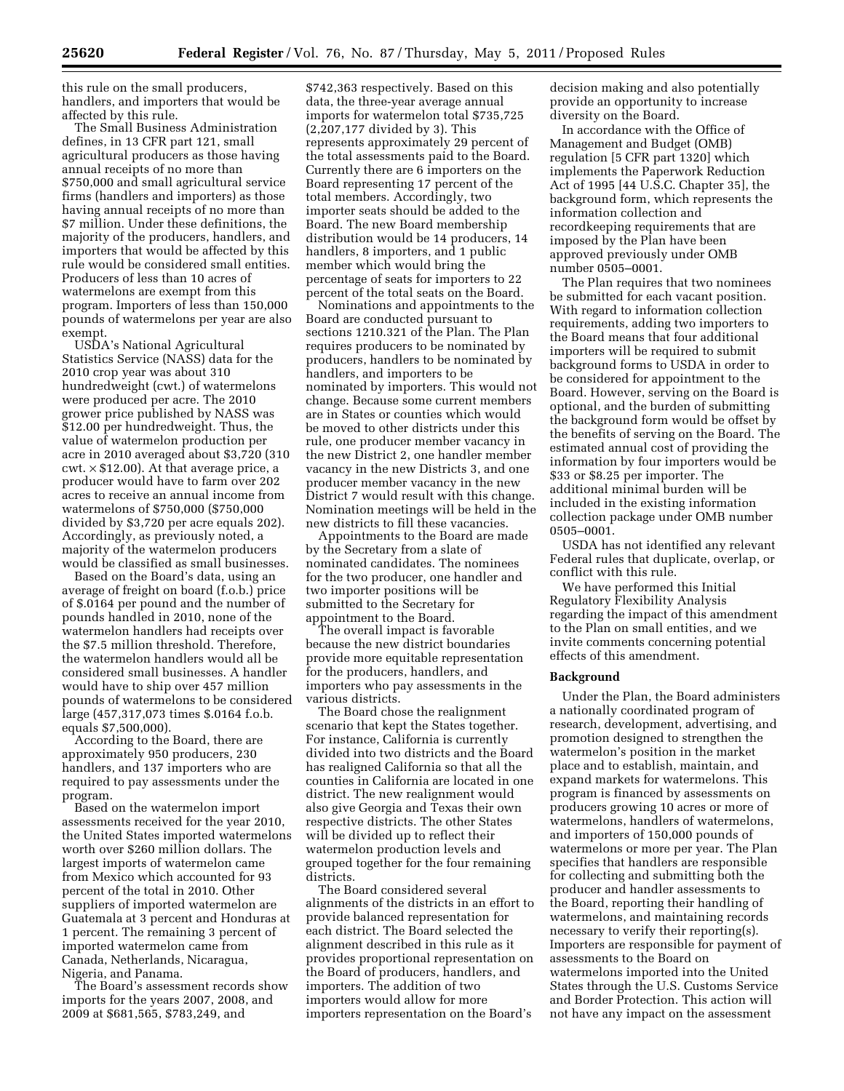this rule on the small producers, handlers, and importers that would be

affected by this rule. The Small Business Administration defines, in 13 CFR part 121, small agricultural producers as those having annual receipts of no more than \$750,000 and small agricultural service firms (handlers and importers) as those having annual receipts of no more than \$7 million. Under these definitions, the majority of the producers, handlers, and importers that would be affected by this rule would be considered small entities. Producers of less than 10 acres of watermelons are exempt from this program. Importers of less than 150,000 pounds of watermelons per year are also exempt.

USDA's National Agricultural Statistics Service (NASS) data for the 2010 crop year was about 310 hundredweight (cwt.) of watermelons were produced per acre. The 2010 grower price published by NASS was \$12.00 per hundredweight. Thus, the value of watermelon production per acre in 2010 averaged about \$3,720 (310  $\text{cwt.} \times $12.00$ . At that average price, a producer would have to farm over 202 acres to receive an annual income from watermelons of \$750,000 (\$750,000 divided by \$3,720 per acre equals 202). Accordingly, as previously noted, a majority of the watermelon producers would be classified as small businesses.

Based on the Board's data, using an average of freight on board (f.o.b.) price of \$.0164 per pound and the number of pounds handled in 2010, none of the watermelon handlers had receipts over the \$7.5 million threshold. Therefore, the watermelon handlers would all be considered small businesses. A handler would have to ship over 457 million pounds of watermelons to be considered large (457,317,073 times \$.0164 f.o.b. equals \$7,500,000).

According to the Board, there are approximately 950 producers, 230 handlers, and 137 importers who are required to pay assessments under the program.

Based on the watermelon import assessments received for the year 2010, the United States imported watermelons worth over \$260 million dollars. The largest imports of watermelon came from Mexico which accounted for 93 percent of the total in 2010. Other suppliers of imported watermelon are Guatemala at 3 percent and Honduras at 1 percent. The remaining 3 percent of imported watermelon came from Canada, Netherlands, Nicaragua, Nigeria, and Panama.

The Board's assessment records show imports for the years 2007, 2008, and 2009 at \$681,565, \$783,249, and

\$742,363 respectively. Based on this data, the three-year average annual imports for watermelon total \$735,725 (2,207,177 divided by 3). This represents approximately 29 percent of the total assessments paid to the Board. Currently there are 6 importers on the Board representing 17 percent of the total members. Accordingly, two importer seats should be added to the Board. The new Board membership distribution would be 14 producers, 14 handlers, 8 importers, and 1 public member which would bring the percentage of seats for importers to 22 percent of the total seats on the Board.

Nominations and appointments to the Board are conducted pursuant to sections 1210.321 of the Plan. The Plan requires producers to be nominated by producers, handlers to be nominated by handlers, and importers to be nominated by importers. This would not change. Because some current members are in States or counties which would be moved to other districts under this rule, one producer member vacancy in the new District 2, one handler member vacancy in the new Districts 3, and one producer member vacancy in the new District 7 would result with this change. Nomination meetings will be held in the new districts to fill these vacancies.

Appointments to the Board are made by the Secretary from a slate of nominated candidates. The nominees for the two producer, one handler and two importer positions will be submitted to the Secretary for appointment to the Board.

The overall impact is favorable because the new district boundaries provide more equitable representation for the producers, handlers, and importers who pay assessments in the various districts.

The Board chose the realignment scenario that kept the States together. For instance, California is currently divided into two districts and the Board has realigned California so that all the counties in California are located in one district. The new realignment would also give Georgia and Texas their own respective districts. The other States will be divided up to reflect their watermelon production levels and grouped together for the four remaining districts.

The Board considered several alignments of the districts in an effort to provide balanced representation for each district. The Board selected the alignment described in this rule as it provides proportional representation on the Board of producers, handlers, and importers. The addition of two importers would allow for more importers representation on the Board's

decision making and also potentially provide an opportunity to increase diversity on the Board.

In accordance with the Office of Management and Budget (OMB) regulation [5 CFR part 1320] which implements the Paperwork Reduction Act of 1995 [44 U.S.C. Chapter 35], the background form, which represents the information collection and recordkeeping requirements that are imposed by the Plan have been approved previously under OMB number 0505–0001.

The Plan requires that two nominees be submitted for each vacant position. With regard to information collection requirements, adding two importers to the Board means that four additional importers will be required to submit background forms to USDA in order to be considered for appointment to the Board. However, serving on the Board is optional, and the burden of submitting the background form would be offset by the benefits of serving on the Board. The estimated annual cost of providing the information by four importers would be \$33 or \$8.25 per importer. The additional minimal burden will be included in the existing information collection package under OMB number 0505–0001.

USDA has not identified any relevant Federal rules that duplicate, overlap, or conflict with this rule.

We have performed this Initial Regulatory Flexibility Analysis regarding the impact of this amendment to the Plan on small entities, and we invite comments concerning potential effects of this amendment.

### **Background**

Under the Plan, the Board administers a nationally coordinated program of research, development, advertising, and promotion designed to strengthen the watermelon's position in the market place and to establish, maintain, and expand markets for watermelons. This program is financed by assessments on producers growing 10 acres or more of watermelons, handlers of watermelons, and importers of 150,000 pounds of watermelons or more per year. The Plan specifies that handlers are responsible for collecting and submitting both the producer and handler assessments to the Board, reporting their handling of watermelons, and maintaining records necessary to verify their reporting(s). Importers are responsible for payment of assessments to the Board on watermelons imported into the United States through the U.S. Customs Service and Border Protection. This action will not have any impact on the assessment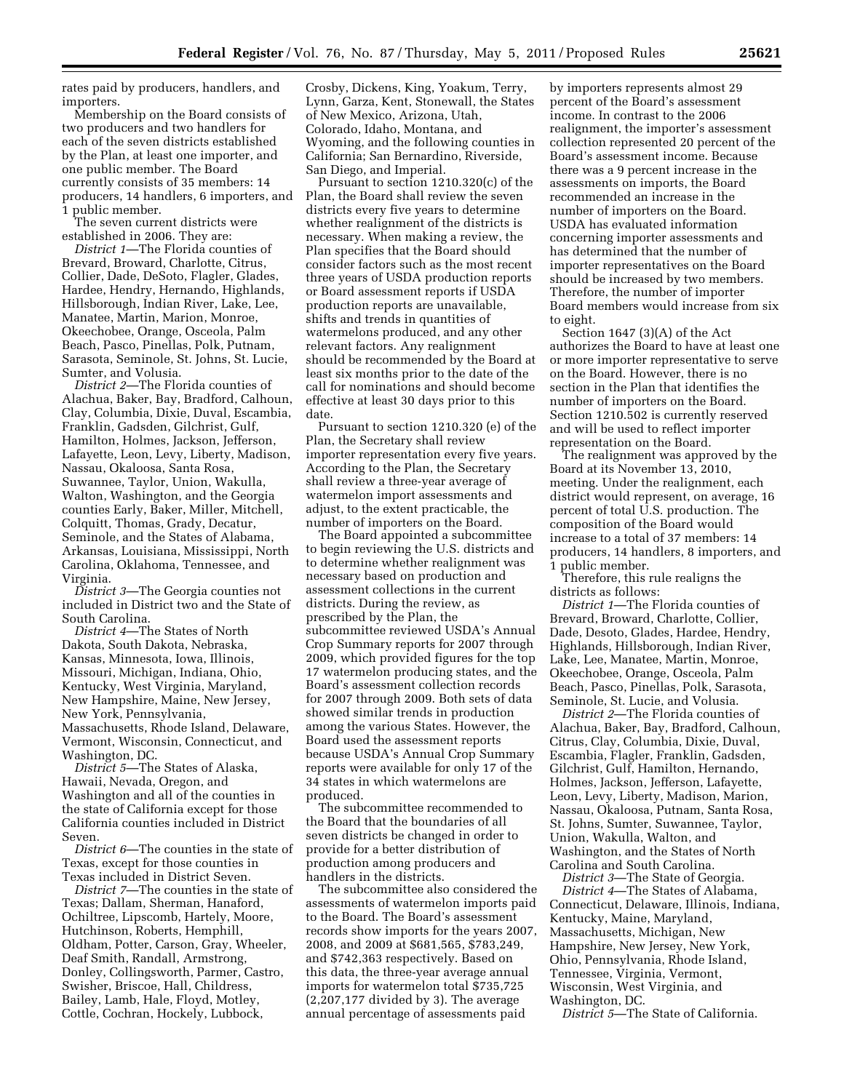rates paid by producers, handlers, and importers.

Membership on the Board consists of two producers and two handlers for each of the seven districts established by the Plan, at least one importer, and one public member. The Board currently consists of 35 members: 14 producers, 14 handlers, 6 importers, and public member.

The seven current districts were established in 2006. They are:

*District 1*—The Florida counties of Brevard, Broward, Charlotte, Citrus, Collier, Dade, DeSoto, Flagler, Glades, Hardee, Hendry, Hernando, Highlands, Hillsborough, Indian River, Lake, Lee, Manatee, Martin, Marion, Monroe, Okeechobee, Orange, Osceola, Palm Beach, Pasco, Pinellas, Polk, Putnam, Sarasota, Seminole, St. Johns, St. Lucie, Sumter, and Volusia.

*District 2*—The Florida counties of Alachua, Baker, Bay, Bradford, Calhoun, Clay, Columbia, Dixie, Duval, Escambia, Franklin, Gadsden, Gilchrist, Gulf, Hamilton, Holmes, Jackson, Jefferson, Lafayette, Leon, Levy, Liberty, Madison, Nassau, Okaloosa, Santa Rosa, Suwannee, Taylor, Union, Wakulla, Walton, Washington, and the Georgia counties Early, Baker, Miller, Mitchell, Colquitt, Thomas, Grady, Decatur, Seminole, and the States of Alabama, Arkansas, Louisiana, Mississippi, North Carolina, Oklahoma, Tennessee, and Virginia.

*District 3*—The Georgia counties not included in District two and the State of South Carolina.

*District 4*—The States of North Dakota, South Dakota, Nebraska, Kansas, Minnesota, Iowa, Illinois, Missouri, Michigan, Indiana, Ohio, Kentucky, West Virginia, Maryland, New Hampshire, Maine, New Jersey, New York, Pennsylvania, Massachusetts, Rhode Island, Delaware, Vermont, Wisconsin, Connecticut, and Washington, DC.

*District 5*—The States of Alaska, Hawaii, Nevada, Oregon, and Washington and all of the counties in the state of California except for those California counties included in District Seven.

*District 6*—The counties in the state of Texas, except for those counties in Texas included in District Seven.

*District 7*—The counties in the state of Texas; Dallam, Sherman, Hanaford, Ochiltree, Lipscomb, Hartely, Moore, Hutchinson, Roberts, Hemphill, Oldham, Potter, Carson, Gray, Wheeler, Deaf Smith, Randall, Armstrong, Donley, Collingsworth, Parmer, Castro, Swisher, Briscoe, Hall, Childress, Bailey, Lamb, Hale, Floyd, Motley, Cottle, Cochran, Hockely, Lubbock,

Crosby, Dickens, King, Yoakum, Terry, Lynn, Garza, Kent, Stonewall, the States of New Mexico, Arizona, Utah, Colorado, Idaho, Montana, and Wyoming, and the following counties in California; San Bernardino, Riverside, San Diego, and Imperial.

Pursuant to section 1210.320(c) of the Plan, the Board shall review the seven districts every five years to determine whether realignment of the districts is necessary. When making a review, the Plan specifies that the Board should consider factors such as the most recent three years of USDA production reports or Board assessment reports if USDA production reports are unavailable, shifts and trends in quantities of watermelons produced, and any other relevant factors. Any realignment should be recommended by the Board at least six months prior to the date of the call for nominations and should become effective at least 30 days prior to this date.

Pursuant to section 1210.320 (e) of the Plan, the Secretary shall review importer representation every five years. According to the Plan, the Secretary shall review a three-year average of watermelon import assessments and adjust, to the extent practicable, the number of importers on the Board.

The Board appointed a subcommittee to begin reviewing the U.S. districts and to determine whether realignment was necessary based on production and assessment collections in the current districts. During the review, as prescribed by the Plan, the subcommittee reviewed USDA's Annual Crop Summary reports for 2007 through 2009, which provided figures for the top 17 watermelon producing states, and the Board's assessment collection records for 2007 through 2009. Both sets of data showed similar trends in production among the various States. However, the Board used the assessment reports because USDA's Annual Crop Summary reports were available for only 17 of the 34 states in which watermelons are produced.

The subcommittee recommended to the Board that the boundaries of all seven districts be changed in order to provide for a better distribution of production among producers and handlers in the districts.

The subcommittee also considered the assessments of watermelon imports paid to the Board. The Board's assessment records show imports for the years 2007, 2008, and 2009 at \$681,565, \$783,249, and \$742,363 respectively. Based on this data, the three-year average annual imports for watermelon total \$735,725 (2,207,177 divided by 3). The average annual percentage of assessments paid

by importers represents almost 29 percent of the Board's assessment income. In contrast to the 2006 realignment, the importer's assessment collection represented 20 percent of the Board's assessment income. Because there was a 9 percent increase in the assessments on imports, the Board recommended an increase in the number of importers on the Board. USDA has evaluated information concerning importer assessments and has determined that the number of importer representatives on the Board should be increased by two members. Therefore, the number of importer Board members would increase from six to eight.

Section 1647 (3)(A) of the Act authorizes the Board to have at least one or more importer representative to serve on the Board. However, there is no section in the Plan that identifies the number of importers on the Board. Section 1210.502 is currently reserved and will be used to reflect importer representation on the Board.

The realignment was approved by the Board at its November 13, 2010, meeting. Under the realignment, each district would represent, on average, 16 percent of total U.S. production. The composition of the Board would increase to a total of 37 members: 14 producers, 14 handlers, 8 importers, and 1 public member.

Therefore, this rule realigns the districts as follows:

*District 1*—The Florida counties of Brevard, Broward, Charlotte, Collier, Dade, Desoto, Glades, Hardee, Hendry, Highlands, Hillsborough, Indian River, Lake, Lee, Manatee, Martin, Monroe, Okeechobee, Orange, Osceola, Palm Beach, Pasco, Pinellas, Polk, Sarasota, Seminole, St. Lucie, and Volusia.

*District 2*—The Florida counties of Alachua, Baker, Bay, Bradford, Calhoun, Citrus, Clay, Columbia, Dixie, Duval, Escambia, Flagler, Franklin, Gadsden, Gilchrist, Gulf, Hamilton, Hernando, Holmes, Jackson, Jefferson, Lafayette, Leon, Levy, Liberty, Madison, Marion, Nassau, Okaloosa, Putnam, Santa Rosa, St. Johns, Sumter, Suwannee, Taylor, Union, Wakulla, Walton, and Washington, and the States of North Carolina and South Carolina.

*District 3*—The State of Georgia. *District 4*—The States of Alabama, Connecticut, Delaware, Illinois, Indiana, Kentucky, Maine, Maryland, Massachusetts, Michigan, New Hampshire, New Jersey, New York, Ohio, Pennsylvania, Rhode Island, Tennessee, Virginia, Vermont, Wisconsin, West Virginia, and Washington, DC.

*District 5*—The State of California.